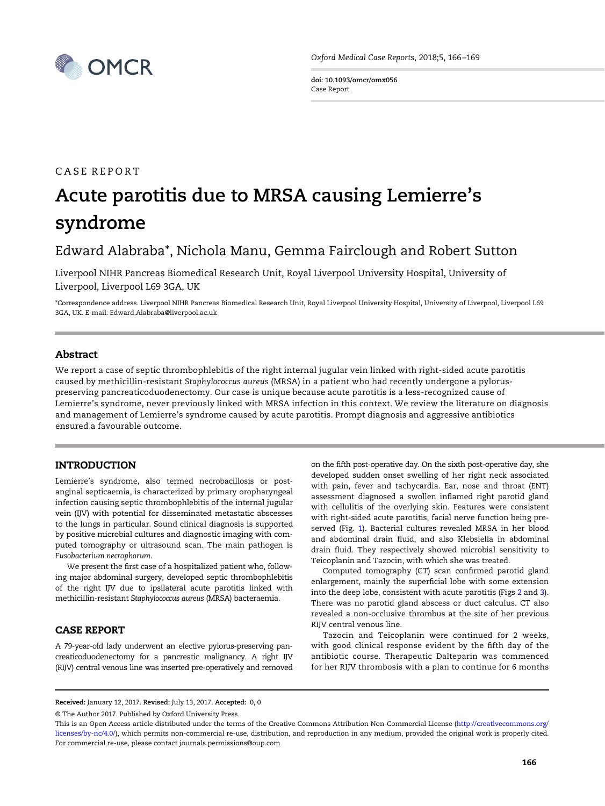

doi: 10.1093/omcr/omx056 Case Report

### CASE REPORT

# Acute parotitis due to MRSA causing Lemierre's syndrome

## Edward Alabraba\*, Nichola Manu, Gemma Fairclough and Robert Sutton

Liverpool NIHR Pancreas Biomedical Research Unit, Royal Liverpool University Hospital, University of Liverpool, Liverpool L69 3GA, UK

\*Correspondence address. Liverpool NIHR Pancreas Biomedical Research Unit, Royal Liverpool University Hospital, University of Liverpool, Liverpool L69 3GA, UK. E-mail: Edward.Alabraba@liverpool.ac.uk

#### Abstract

We report a case of septic thrombophlebitis of the right internal jugular vein linked with right-sided acute parotitis caused by methicillin-resistant Staphylococcus aureus (MRSA) in a patient who had recently undergone a pyloruspreserving pancreaticoduodenectomy. Our case is unique because acute parotitis is a less-recognized cause of Lemierre's syndrome, never previously linked with MRSA infection in this context. We review the literature on diagnosis and management of Lemierre's syndrome caused by acute parotitis. Prompt diagnosis and aggressive antibiotics ensured a favourable outcome.

#### **INTRODUCTION**

Lemierre's syndrome, also termed necrobacillosis or postanginal septicaemia, is characterized by primary oropharyngeal infection causing septic thrombophlebitis of the internal jugular vein (IJV) with potential for disseminated metastatic abscesses to the lungs in particular. Sound clinical diagnosis is supported by positive microbial cultures and diagnostic imaging with computed tomography or ultrasound scan. The main pathogen is Fusobacterium necrophorum.

We present the first case of a hospitalized patient who, following major abdominal surgery, developed septic thrombophlebitis of the right IJV due to ipsilateral acute parotitis linked with methicillin-resistant Staphylococcus aureus (MRSA) bacteraemia.

#### CASE REPORT

A 79-year-old lady underwent an elective pylorus-preserving pancreaticoduodenectomy for a pancreatic malignancy. A right IJV (RIJV) central venous line was inserted pre-operatively and removed on the fifth post-operative day. On the sixth post-operative day, she developed sudden onset swelling of her right neck associated with pain, fever and tachycardia. Ear, nose and throat (ENT) assessment diagnosed a swollen inflamed right parotid gland with cellulitis of the overlying skin. Features were consistent with right-sided acute parotitis, facial nerve function being preserved (Fig. [1\)](#page-1-0). Bacterial cultures revealed MRSA in her blood and abdominal drain fluid, and also Klebsiella in abdominal drain fluid. They respectively showed microbial sensitivity to Teicoplanin and Tazocin, with which she was treated.

Computed tomography (CT) scan confirmed parotid gland enlargement, mainly the superficial lobe with some extension into the deep lobe, consistent with acute parotitis (Figs [2](#page-1-0) and [3](#page-1-0)). There was no parotid gland abscess or duct calculus. CT also revealed a non-occlusive thrombus at the site of her previous RIJV central venous line.

Tazocin and Teicoplanin were continued for 2 weeks, with good clinical response evident by the fifth day of the antibiotic course. Therapeutic Dalteparin was commenced for her RIJV thrombosis with a plan to continue for 6 months

© The Author 2017. Published by Oxford University Press.

Received: January 12, 2017. Revised: July 13, 2017. Accepted: 0, 0

This is an Open Access article distributed under the terms of the Creative Commons Attribution Non-Commercial License ([http://creativecommons.org/](http://creativecommons.org/licenses/by-nc/4.0/) [licenses/by-nc/4.0/\)](http://creativecommons.org/licenses/by-nc/4.0/), which permits non-commercial re-use, distribution, and reproduction in any medium, provided the original work is properly cited. For commercial re-use, please contact journals.permissions@oup.com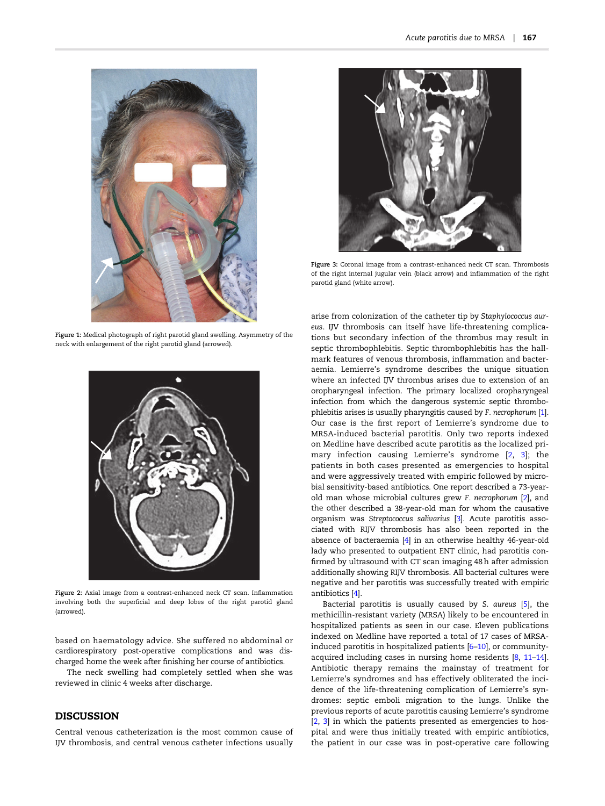<span id="page-1-0"></span>

Figure 1: Medical photograph of right parotid gland swelling. Asymmetry of the neck with enlargement of the right parotid gland (arrowed).



Figure 2: Axial image from a contrast-enhanced neck CT scan. Inflammation involving both the superficial and deep lobes of the right parotid gland (arrowed).

based on haematology advice. She suffered no abdominal or cardiorespiratory post-operative complications and was discharged home the week after finishing her course of antibiotics.

The neck swelling had completely settled when she was reviewed in clinic 4 weeks after discharge.

#### DISCUSSION

Central venous catheterization is the most common cause of IJV thrombosis, and central venous catheter infections usually



Figure 3: Coronal image from a contrast-enhanced neck CT scan. Thrombosis of the right internal jugular vein (black arrow) and inflammation of the right parotid gland (white arrow).

arise from colonization of the catheter tip by Staphylococcus aureus. IJV thrombosis can itself have life-threatening complications but secondary infection of the thrombus may result in septic thrombophlebitis. Septic thrombophlebitis has the hallmark features of venous thrombosis, inflammation and bacteraemia. Lemierre's syndrome describes the unique situation where an infected IJV thrombus arises due to extension of an oropharyngeal infection. The primary localized oropharyngeal infection from which the dangerous systemic septic thrombophlebitis arises is usually pharyngitis caused by F. necrophorum [\[1](#page-2-0)]. Our case is the first report of Lemierre's syndrome due to MRSA-induced bacterial parotitis. Only two reports indexed on Medline have described acute parotitis as the localized primary infection causing Lemierre's syndrome [\[2,](#page-2-0) [3](#page-2-0)]; the patients in both cases presented as emergencies to hospital and were aggressively treated with empiric followed by microbial sensitivity-based antibiotics. One report described a 73-yearold man whose microbial cultures grew F. necrophorum [\[2](#page-2-0)], and the other described a 38-year-old man for whom the causative organism was Streptococcus salivarius [[3\]](#page-2-0). Acute parotitis associated with RIJV thrombosis has also been reported in the absence of bacteraemia [\[4](#page-2-0)] in an otherwise healthy 46-year-old lady who presented to outpatient ENT clinic, had parotitis confirmed by ultrasound with CT scan imaging 48 h after admission additionally showing RIJV thrombosis. All bacterial cultures were negative and her parotitis was successfully treated with empiric antibiotics [\[4](#page-2-0)].

Bacterial parotitis is usually caused by S. aureus [\[5\]](#page-2-0), the methicillin-resistant variety (MRSA) likely to be encountered in hospitalized patients as seen in our case. Eleven publications indexed on Medline have reported a total of 17 cases of MRSAinduced parotitis in hospitalized patients [\[6](#page-2-0)–[10](#page-3-0)], or communityacquired including cases in nursing home residents [[8,](#page-3-0) [11](#page-3-0)–[14](#page-3-0)]. Antibiotic therapy remains the mainstay of treatment for Lemierre's syndromes and has effectively obliterated the incidence of the life-threatening complication of Lemierre's syndromes: septic emboli migration to the lungs. Unlike the previous reports of acute parotitis causing Lemierre's syndrome [[2](#page-2-0), [3](#page-2-0)] in which the patients presented as emergencies to hospital and were thus initially treated with empiric antibiotics, the patient in our case was in post-operative care following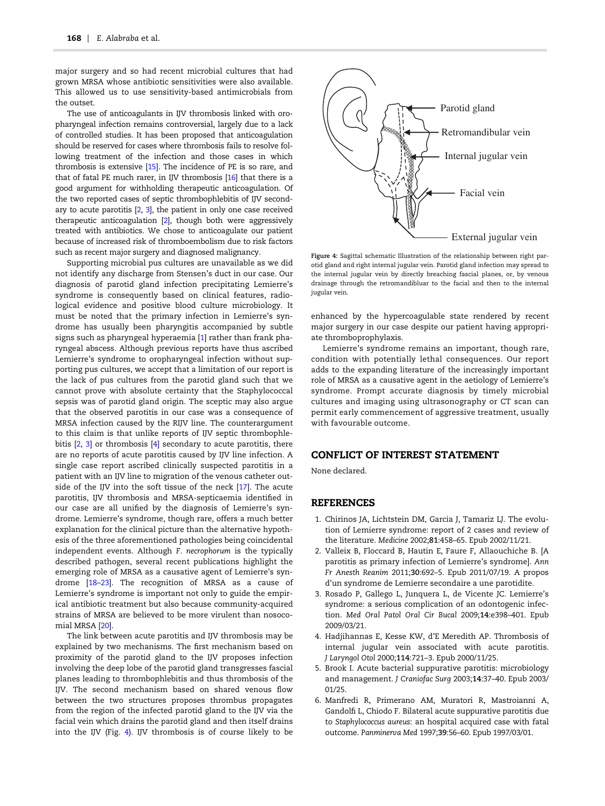<span id="page-2-0"></span>major surgery and so had recent microbial cultures that had grown MRSA whose antibiotic sensitivities were also available. This allowed us to use sensitivity-based antimicrobials from the outset.

The use of anticoagulants in IJV thrombosis linked with oropharyngeal infection remains controversial, largely due to a lack of controlled studies. It has been proposed that anticoagulation should be reserved for cases where thrombosis fails to resolve following treatment of the infection and those cases in which thrombosis is extensive [[15\]](#page-3-0). The incidence of PE is so rare, and that of fatal PE much rarer, in IJV thrombosis [\[16\]](#page-3-0) that there is a good argument for withholding therapeutic anticoagulation. Of the two reported cases of septic thrombophlebitis of IJV secondary to acute parotitis  $[2, 3]$ , the patient in only one case received therapeutic anticoagulation [2], though both were aggressively treated with antibiotics. We chose to anticoagulate our patient because of increased risk of thromboembolism due to risk factors such as recent major surgery and diagnosed malignancy.

Supporting microbial pus cultures are unavailable as we did not identify any discharge from Stensen's duct in our case. Our diagnosis of parotid gland infection precipitating Lemierre's syndrome is consequently based on clinical features, radiological evidence and positive blood culture microbiology. It must be noted that the primary infection in Lemierre's syndrome has usually been pharyngitis accompanied by subtle signs such as pharyngeal hyperaemia [1] rather than frank pharyngeal abscess. Although previous reports have thus ascribed Lemierre's syndrome to oropharyngeal infection without supporting pus cultures, we accept that a limitation of our report is the lack of pus cultures from the parotid gland such that we cannot prove with absolute certainty that the Staphylococcal sepsis was of parotid gland origin. The sceptic may also argue that the observed parotitis in our case was a consequence of MRSA infection caused by the RIJV line. The counterargument to this claim is that unlike reports of IJV septic thrombophlebitis [2, 3] or thrombosis [4] secondary to acute parotitis, there are no reports of acute parotitis caused by IJV line infection. A single case report ascribed clinically suspected parotitis in a patient with an IJV line to migration of the venous catheter outside of the IJV into the soft tissue of the neck [\[17\]](#page-3-0). The acute parotitis, IJV thrombosis and MRSA-septicaemia identified in our case are all unified by the diagnosis of Lemierre's syndrome. Lemierre's syndrome, though rare, offers a much better explanation for the clinical picture than the alternative hypothesis of the three aforementioned pathologies being coincidental independent events. Although F. necrophorum is the typically described pathogen, several recent publications highlight the emerging role of MRSA as a causative agent of Lemierre's syndrome [\[18](#page-3-0)–[23\]](#page-3-0). The recognition of MRSA as a cause of Lemierre's syndrome is important not only to guide the empirical antibiotic treatment but also because community-acquired strains of MRSA are believed to be more virulent than nosocomial MRSA [\[20](#page-3-0)].

The link between acute parotitis and IJV thrombosis may be explained by two mechanisms. The first mechanism based on proximity of the parotid gland to the IJV proposes infection involving the deep lobe of the parotid gland transgresses fascial planes leading to thrombophlebitis and thus thrombosis of the IJV. The second mechanism based on shared venous flow between the two structures proposes thrombus propagates from the region of the infected parotid gland to the IJV via the facial vein which drains the parotid gland and then itself drains into the IJV (Fig. 4). IJV thrombosis is of course likely to be



Figure 4: Sagittal schematic Illustration of the relationship between right parotid gland and right internal jugular vein. Parotid gland infection may spread to the internal jugular vein by directly breaching fascial planes, or, by venous drainage through the retromandibluar to the facial and then to the internal jugular vein.

enhanced by the hypercoagulable state rendered by recent major surgery in our case despite our patient having appropriate thromboprophylaxis.

Lemierre's syndrome remains an important, though rare, condition with potentially lethal consequences. Our report adds to the expanding literature of the increasingly important role of MRSA as a causative agent in the aetiology of Lemierre's syndrome. Prompt accurate diagnosis by timely microbial cultures and imaging using ultrasonography or CT scan can permit early commencement of aggressive treatment, usually with favourable outcome.

#### CONFLICT OF INTEREST STATEMENT

None declared.

#### REFERENCES

- 1. Chirinos JA, Lichtstein DM, Garcia J, Tamariz LJ. The evolution of Lemierre syndrome: report of 2 cases and review of the literature. Medicine 2002;81:458–65. Epub 2002/11/21.
- 2. Valleix B, Floccard B, Hautin E, Faure F, Allaouchiche B. [A parotitis as primary infection of Lemierre's syndrome]. Ann Fr Anesth Reanim 2011;30:692–5. Epub 2011/07/19. A propos d'un syndrome de Lemierre secondaire a une parotidite.
- 3. Rosado P, Gallego L, Junquera L, de Vicente JC. Lemierre's syndrome: a serious complication of an odontogenic infection. Med Oral Patol Oral Cir Bucal 2009;14:e398–401. Epub 2009/03/21.
- 4. Hadjihannas E, Kesse KW, d'E Meredith AP. Thrombosis of internal jugular vein associated with acute parotitis. J Laryngol Otol 2000;114:721–3. Epub 2000/11/25.
- 5. Brook I. Acute bacterial suppurative parotitis: microbiology and management. J Craniofac Surg 2003;14:37–40. Epub 2003/ 01/25.
- 6. Manfredi R, Primerano AM, Muratori R, Mastroianni A, Gandolfi L, Chiodo F. Bilateral acute suppurative parotitis due to Staphylococcus aureus: an hospital acquired case with fatal outcome. Panminerva Med 1997;39:56–60. Epub 1997/03/01.